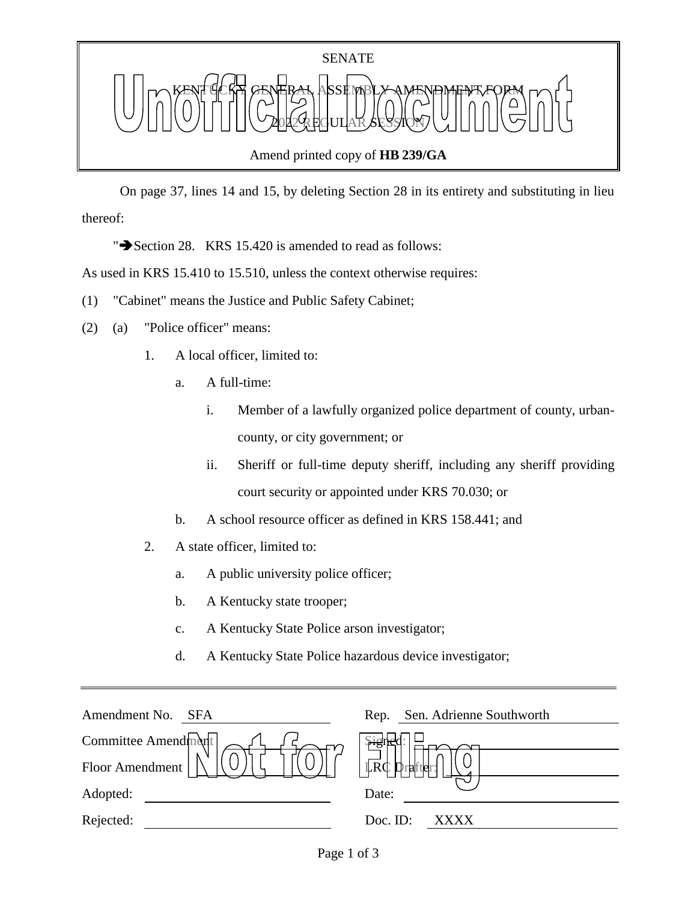

 On page 37, lines 14 and 15, by deleting Section 28 in its entirety and substituting in lieu thereof:

" $\rightarrow$  Section 28. KRS 15.420 is amended to read as follows:

As used in KRS 15.410 to 15.510, unless the context otherwise requires:

- (1) "Cabinet" means the Justice and Public Safety Cabinet;
- (2) (a) "Police officer" means:
	- 1. A local officer, limited to:
		- a. A full-time:
			- i. Member of a lawfully organized police department of county, urbancounty, or city government; or
			- ii. Sheriff or full-time deputy sheriff, including any sheriff providing court security or appointed under KRS 70.030; or
		- b. A school resource officer as defined in KRS 158.441; and
	- 2. A state officer, limited to:
		- a. A public university police officer;
		- b. A Kentucky state trooper;
		- c. A Kentucky State Police arson investigator;
		- d. A Kentucky State Police hazardous device investigator;

| Amendment No. SFA   | Sen. Adrienne Southworth<br>Rep. |
|---------------------|----------------------------------|
| Committee Amendment |                                  |
| Floor Amendment     | $\mathbb{R}$ C Drafter           |
| Adopted:            | Date:                            |
| Rejected:           | Doc. ID:<br><b>XXXX</b>          |
|                     |                                  |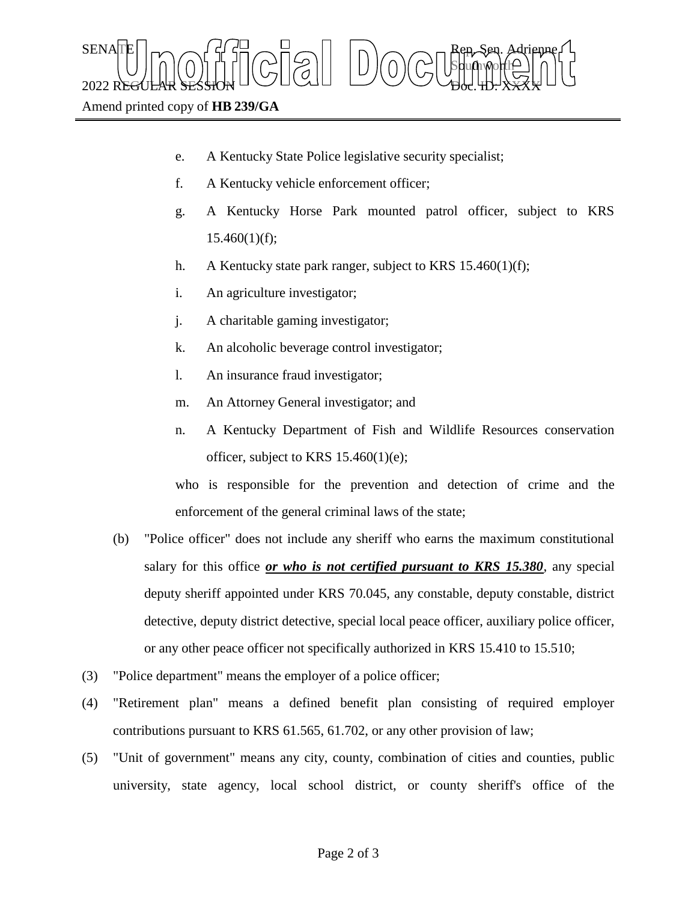$\text{SENA}[\mathbb{E} | \mid_{\mathsf{T}} \frown \bigcap_{\mathsf{S}} \mathsf{G}] \frown \bigcup_{\mathsf{S}} \bigcap_{\mathsf{S}} \bigcap_{\mathsf{S}} \bigcap_{\mathsf{S}} \bigcap_{\mathsf{S}} \bigcap_{\mathsf{S}} \mathsf{G} \mathsf{G} \bigcap_{\mathsf{S}} \mathsf{G} \mathsf{G} \bigcap_{\mathsf{S}} \mathsf{G} \bigcap_{\mathsf{S}} \mathsf{G} \bigcap_{\mathsf{S}} \mathsf{G} \bigcap_{\mathsf{S}} \mathsf{G} \bigcap_{\mathsf{S}} \mathsf{G} \big$ Sbufhworth  $2022$  REGULAR SESSION DOLLOURED DO COURT TO CHARLED.  $\chi_{\rm{H}}$ 

Amend printed copy of **HB 239/GA**

- e. A Kentucky State Police legislative security specialist;
- f. A Kentucky vehicle enforcement officer;
- g. A Kentucky Horse Park mounted patrol officer, subject to KRS  $15.460(1)(f);$
- h. A Kentucky state park ranger, subject to KRS 15.460(1)(f);
- i. An agriculture investigator;
- j. A charitable gaming investigator;
- k. An alcoholic beverage control investigator;
- l. An insurance fraud investigator;
- m. An Attorney General investigator; and
- n. A Kentucky Department of Fish and Wildlife Resources conservation officer, subject to KRS 15.460(1)(e);

who is responsible for the prevention and detection of crime and the enforcement of the general criminal laws of the state;

- (b) "Police officer" does not include any sheriff who earns the maximum constitutional salary for this office *or who is not certified pursuant to KRS 15.380*, any special deputy sheriff appointed under KRS 70.045, any constable, deputy constable, district detective, deputy district detective, special local peace officer, auxiliary police officer, or any other peace officer not specifically authorized in KRS 15.410 to 15.510;
- (3) "Police department" means the employer of a police officer;
- (4) "Retirement plan" means a defined benefit plan consisting of required employer contributions pursuant to KRS 61.565, 61.702, or any other provision of law;
- (5) "Unit of government" means any city, county, combination of cities and counties, public university, state agency, local school district, or county sheriff's office of the